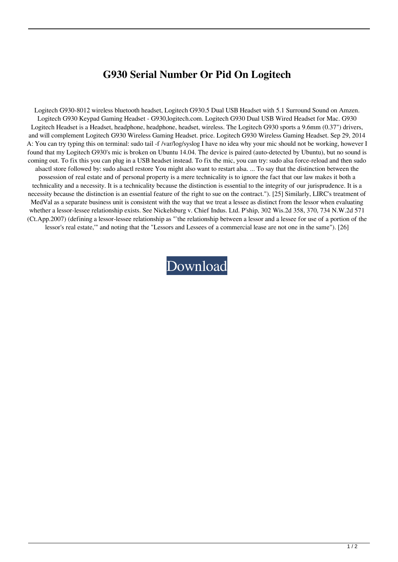## **G930 Serial Number Or Pid On Logitech**

Logitech G930-8012 wireless bluetooth headset, Logitech G930.5 Dual USB Headset with 5.1 Surround Sound on Amzen. Logitech G930 Keypad Gaming Headset - G930,logitech.com. Logitech G930 Dual USB Wired Headset for Mac. G930 Logitech Headset is a Headset, headphone, headphone, headset, wireless. The Logitech G930 sports a 9.6mm (0.37") drivers, and will complement Logitech G930 Wireless Gaming Headset. price. Logitech G930 Wireless Gaming Headset. Sep 29, 2014 A: You can try typing this on terminal: sudo tail -f /var/log/syslog I have no idea why your mic should not be working, however I found that my Logitech G930's mic is broken on Ubuntu 14.04. The device is paired (auto-detected by Ubuntu), but no sound is coming out. To fix this you can plug in a USB headset instead. To fix the mic, you can try: sudo alsa force-reload and then sudo alsactl store followed by: sudo alsactl restore You might also want to restart alsa. ... To say that the distinction between the possession of real estate and of personal property is a mere technicality is to ignore the fact that our law makes it both a technicality and a necessity. It is a technicality because the distinction is essential to the integrity of our jurisprudence. It is a necessity because the distinction is an essential feature of the right to sue on the contract."). [25] Similarly, LIRC's treatment of MedVal as a separate business unit is consistent with the way that we treat a lessee as distinct from the lessor when evaluating whether a lessor-lessee relationship exists. See Nickelsburg v. Chief Indus. Ltd. P'ship, 302 Wis.2d 358, 370, 734 N.W.2d 571 (Ct.App.2007) (defining a lessor-lessee relationship as "`the relationship between a lessor and a lessee for use of a portion of the lessor's real estate,'" and noting that the "Lessors and Lessees of a commercial lease are not one in the same"). [26]

[Download](http://evacdir.com/expericening/sprayer/yamahas/ZG93bmxvYWR8Slg1TVdKeGJYeDhNVFkxTWpjME1EZzJObng4TWpVM05IeDhLRTBwSUhKbFlXUXRZbXh2WnlCYlJtRnpkQ0JIUlU1ZA/exteriors/porcaro/?ZzkzMCBzZXJpYWwgbnVtYmVyIG9yIHBpZCBvbiBsb2dpdGVjaAZzk=...sulfides)